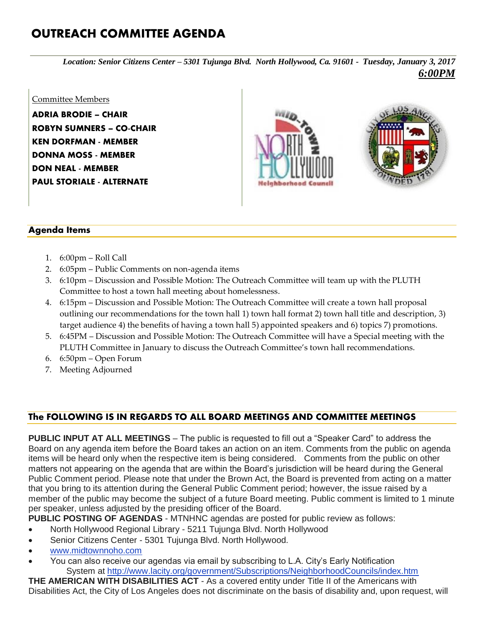## **OUTREACH COMMITTEE AGENDA**

*Location: Senior Citizens Center – 5301 Tujunga Blvd. North Hollywood, Ca. 91601 - Tuesday, January 3, 2017 6:00PM*

## Committee Members **ADRIA BRODIE – CHAIR**

**ROBYN SUMNERS – CO-CHAIR KEN DORFMAN - MEMBER DONNA MOSS - MEMBER DON NEAL - MEMBER PAUL STORIALE - ALTERNATE**





## **Agenda Items**

- 1. 6:00pm Roll Call
- 2. 6:05pm Public Comments on non-agenda items
- 3. 6:10pm Discussion and Possible Motion: The Outreach Committee will team up with the PLUTH Committee to host a town hall meeting about homelessness.
- 4. 6:15pm Discussion and Possible Motion: The Outreach Committee will create a town hall proposal outlining our recommendations for the town hall 1) town hall format 2) town hall title and description, 3) target audience 4) the benefits of having a town hall 5) appointed speakers and 6) topics 7) promotions.
- 5. 6:45PM Discussion and Possible Motion: The Outreach Committee will have a Special meeting with the PLUTH Committee in January to discuss the Outreach Committee's town hall recommendations.
- 6. 6:50pm Open Forum
- 7. Meeting Adjourned

## **The FOLLOWING IS IN REGARDS TO ALL BOARD MEETINGS AND COMMITTEE MEETINGS**

**PUBLIC INPUT AT ALL MEETINGS** – The public is requested to fill out a "Speaker Card" to address the Board on any agenda item before the Board takes an action on an item. Comments from the public on agenda items will be heard only when the respective item is being considered. Comments from the public on other matters not appearing on the agenda that are within the Board's jurisdiction will be heard during the General Public Comment period. Please note that under the Brown Act, the Board is prevented from acting on a matter that you bring to its attention during the General Public Comment period; however, the issue raised by a member of the public may become the subject of a future Board meeting. Public comment is limited to 1 minute per speaker, unless adjusted by the presiding officer of the Board.

**PUBLIC POSTING OF AGENDAS** - MTNHNC agendas are posted for public review as follows:

- North Hollywood Regional Library 5211 Tujunga Blvd. North Hollywood
- Senior Citizens Center 5301 Tujunga Blvd. North Hollywood.
- [www.midtownnoho.com](http://www.midtownnoho.com/)
- You can also receive our agendas via email by subscribing to L.A. City's Early Notification System at <http://www.lacity.org/government/Subscriptions/NeighborhoodCouncils/index.htm>

**THE AMERICAN WITH DISABILITIES ACT** - As a covered entity under Title II of the Americans with Disabilities Act, the City of Los Angeles does not discriminate on the basis of disability and, upon request, will